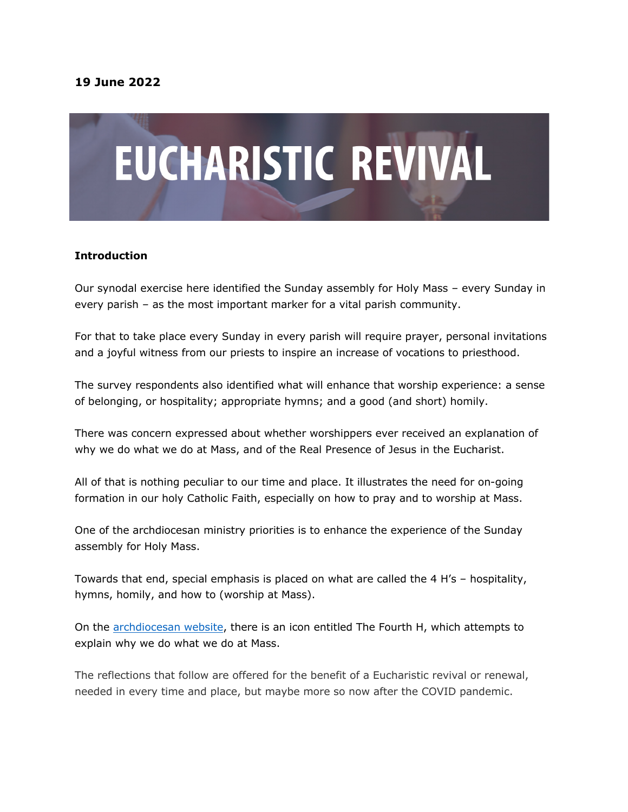# **19 June 2022**



#### **Introduction**

Our synodal exercise here identified the Sunday assembly for Holy Mass – every Sunday in every parish – as the most important marker for a vital parish community.

For that to take place every Sunday in every parish will require prayer, personal invitations and a joyful witness from our priests to inspire an increase of vocations to priesthood.

The survey respondents also identified what will enhance that worship experience: a sense of belonging, or hospitality; appropriate hymns; and a good (and short) homily.

There was concern expressed about whether worshippers ever received an explanation of why we do what we do at Mass, and of the Real Presence of Jesus in the Eucharist.

All of that is nothing peculiar to our time and place. It illustrates the need for on-going formation in our holy Catholic Faith, especially on how to pray and to worship at Mass.

One of the archdiocesan ministry priorities is to enhance the experience of the Sunday assembly for Holy Mass.

Towards that end, special emphasis is placed on what are called the 4 H's – hospitality, hymns, homily, and how to (worship at Mass).

On the archdiocesan website, there is an icon entitled The Fourth H, which attempts to explain why we do what we do at Mass.

The reflections that follow are offered for the benefit of a Eucharistic revival or renewal, needed in every time and place, but maybe more so now after the COVID pandemic.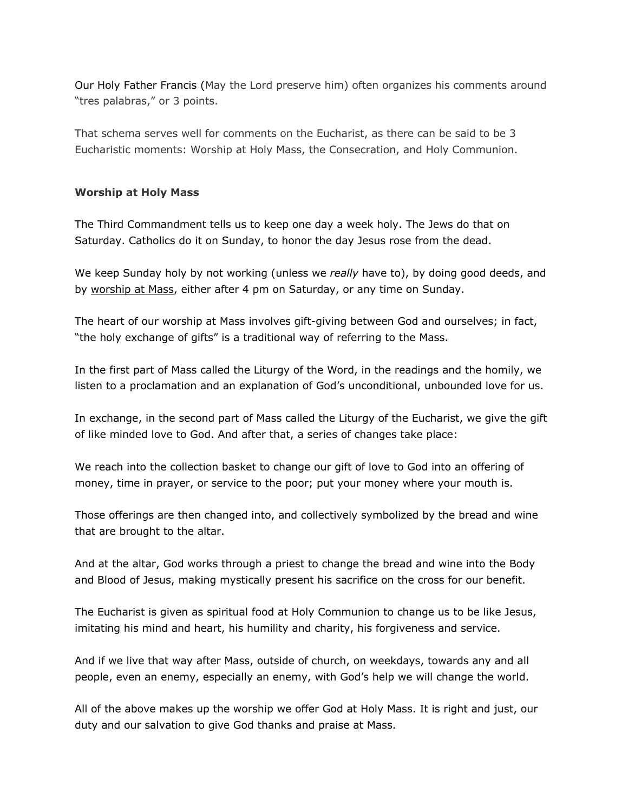Our Holy Father Francis (May the Lord preserve him) often organizes his comments around "tres palabras," or 3 points.

That schema serves well for comments on the Eucharist, as there can be said to be 3 Eucharistic moments: Worship at Holy Mass, the Consecration, and Holy Communion.

### **Worship at Holy Mass**

The Third Commandment tells us to keep one day a week holy. The Jews do that on Saturday. Catholics do it on Sunday, to honor the day Jesus rose from the dead.

We keep Sunday holy by not working (unless we *really* have to), by doing good deeds, and by worship at Mass, either after 4 pm on Saturday, or any time on Sunday.

The heart of our worship at Mass involves gift-giving between God and ourselves; in fact, "the holy exchange of gifts" is a traditional way of referring to the Mass.

In the first part of Mass called the Liturgy of the Word, in the readings and the homily, we listen to a proclamation and an explanation of God's unconditional, unbounded love for us.

In exchange, in the second part of Mass called the Liturgy of the Eucharist, we give the gift of like minded love to God. And after that, a series of changes take place:

We reach into the collection basket to change our gift of love to God into an offering of money, time in prayer, or service to the poor; put your money where your mouth is.

Those offerings are then changed into, and collectively symbolized by the bread and wine that are brought to the altar.

And at the altar, God works through a priest to change the bread and wine into the Body and Blood of Jesus, making mystically present his sacrifice on the cross for our benefit.

The Eucharist is given as spiritual food at Holy Communion to change us to be like Jesus, imitating his mind and heart, his humility and charity, his forgiveness and service.

And if we live that way after Mass, outside of church, on weekdays, towards any and all people, even an enemy, especially an enemy, with God's help we will change the world.

All of the above makes up the worship we offer God at Holy Mass. It is right and just, our duty and our salvation to give God thanks and praise at Mass.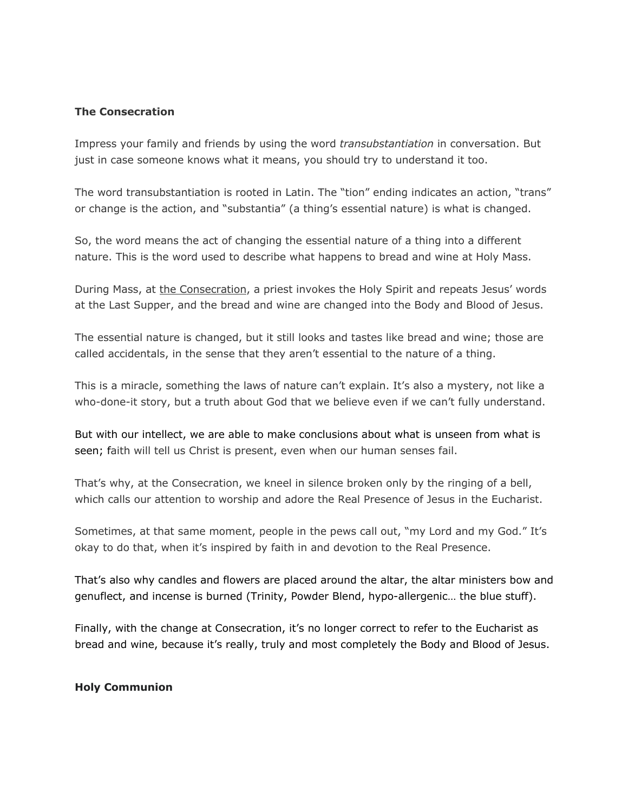#### **The Consecration**

Impress your family and friends by using the word *transubstantiation* in conversation. But just in case someone knows what it means, you should try to understand it too.

The word transubstantiation is rooted in Latin. The "tion" ending indicates an action, "trans" or change is the action, and "substantia" (a thing's essential nature) is what is changed.

So, the word means the act of changing the essential nature of a thing into a different nature. This is the word used to describe what happens to bread and wine at Holy Mass.

During Mass, at the Consecration, a priest invokes the Holy Spirit and repeats Jesus' words at the Last Supper, and the bread and wine are changed into the Body and Blood of Jesus.

The essential nature is changed, but it still looks and tastes like bread and wine; those are called accidentals, in the sense that they aren't essential to the nature of a thing.

This is a miracle, something the laws of nature can't explain. It's also a mystery, not like a who-done-it story, but a truth about God that we believe even if we can't fully understand.

But with our intellect, we are able to make conclusions about what is unseen from what is seen; faith will tell us Christ is present, even when our human senses fail.

That's why, at the Consecration, we kneel in silence broken only by the ringing of a bell, which calls our attention to worship and adore the Real Presence of Jesus in the Eucharist.

Sometimes, at that same moment, people in the pews call out, "my Lord and my God." It's okay to do that, when it's inspired by faith in and devotion to the Real Presence.

That's also why candles and flowers are placed around the altar, the altar ministers bow and genuflect, and incense is burned (Trinity, Powder Blend, hypo-allergenic… the blue stuff).

Finally, with the change at Consecration, it's no longer correct to refer to the Eucharist as bread and wine, because it's really, truly and most completely the Body and Blood of Jesus.

## **Holy Communion**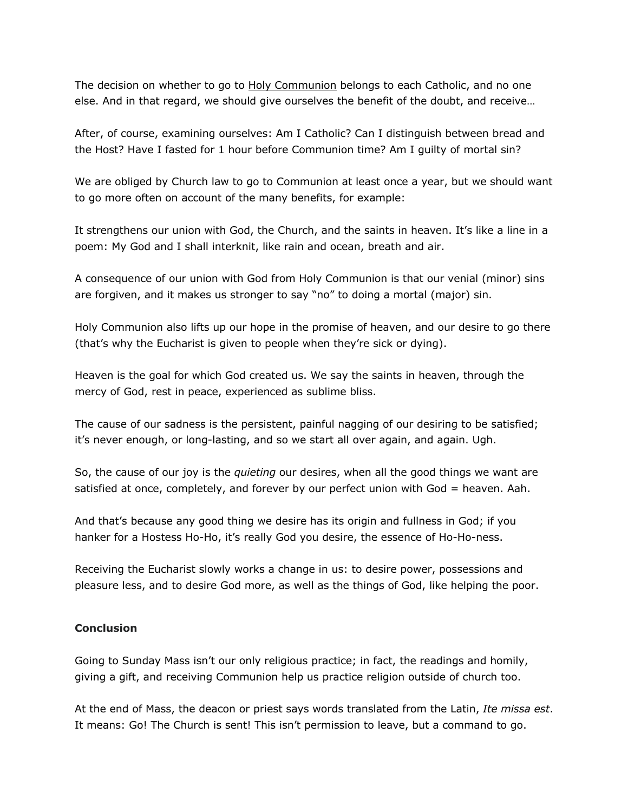The decision on whether to go to **Holy Communion** belongs to each Catholic, and no one else. And in that regard, we should give ourselves the benefit of the doubt, and receive…

After, of course, examining ourselves: Am I Catholic? Can I distinguish between bread and the Host? Have I fasted for 1 hour before Communion time? Am I guilty of mortal sin?

We are obliged by Church law to go to Communion at least once a year, but we should want to go more often on account of the many benefits, for example:

It strengthens our union with God, the Church, and the saints in heaven. It's like a line in a poem: My God and I shall interknit, like rain and ocean, breath and air.

A consequence of our union with God from Holy Communion is that our venial (minor) sins are forgiven, and it makes us stronger to say "no" to doing a mortal (major) sin.

Holy Communion also lifts up our hope in the promise of heaven, and our desire to go there (that's why the Eucharist is given to people when they're sick or dying).

Heaven is the goal for which God created us. We say the saints in heaven, through the mercy of God, rest in peace, experienced as sublime bliss.

The cause of our sadness is the persistent, painful nagging of our desiring to be satisfied; it's never enough, or long-lasting, and so we start all over again, and again. Ugh.

So, the cause of our joy is the *quieting* our desires, when all the good things we want are satisfied at once, completely, and forever by our perfect union with God = heaven. Aah.

And that's because any good thing we desire has its origin and fullness in God; if you hanker for a Hostess Ho-Ho, it's really God you desire, the essence of Ho-Ho-ness.

Receiving the Eucharist slowly works a change in us: to desire power, possessions and pleasure less, and to desire God more, as well as the things of God, like helping the poor.

## **Conclusion**

Going to Sunday Mass isn't our only religious practice; in fact, the readings and homily, giving a gift, and receiving Communion help us practice religion outside of church too.

At the end of Mass, the deacon or priest says words translated from the Latin, *Ite missa est*. It means: Go! The Church is sent! This isn't permission to leave, but a command to go.